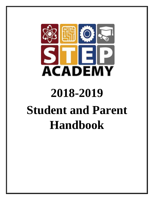

# **2018-2019 Student and Parent Handbook**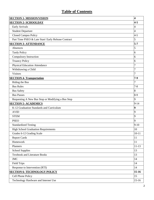# **Table of Contents**

| <b>SECTION 1- MISSION/VISION</b><br>$\overline{\mathbf{4}}$ |                |  |
|-------------------------------------------------------------|----------------|--|
| <b>SECTION 2- SCHOOLDAY</b>                                 | $4 - 5$        |  |
| <b>Early Arrivals</b>                                       | 4              |  |
| <b>Student Departure</b>                                    | $\overline{4}$ |  |
| <b>Closed Campus Policy</b>                                 | $4 - 5$        |  |
| Part Time PSEO & Late Start/ Early Release Contract<br>5    |                |  |
| <b>SECTION 3- ATTENDANCE</b>                                | $5 - 7$        |  |
| Absences                                                    | 5              |  |
| <b>Tardy Policy</b>                                         | 6              |  |
| Compulsory Instruction                                      | 6              |  |
| <b>Truancy Policy</b>                                       | 6              |  |
| <b>Physical Education Attendance</b>                        | 7              |  |
| Withdrawing a Child                                         | $\tau$         |  |
| <b>Visitors</b>                                             | 7              |  |
| <b>SECTION 4- Transportation</b>                            | $7 - 9$        |  |
| Riding the Bus                                              | 7              |  |
| <b>Bus Rules</b>                                            | $7 - 8$        |  |
| <b>Bus Safety</b>                                           | 8              |  |
| <b>Bus Passes</b>                                           | $8-9$          |  |
| Requesting A New Bus Stop or Modifying a Bus Stop           | 9              |  |
| <b>SECTION 5- ACADEMICS</b><br>$9 - 14$                     |                |  |
| K-12 Graduation Standards and Curriculum                    | 9              |  |
| <b>AVID</b>                                                 | 9              |  |
| <b>STEM</b>                                                 | 9              |  |
| <b>PSEO</b>                                                 | 9              |  |
| <b>Standardized Testing</b>                                 | $9-10$         |  |
| <b>High School Graduation Requirements</b>                  | $10\,$         |  |
| Grades 6-12 Grading Scale                                   | $10 - 11$      |  |
| <b>Report Cards</b>                                         | 11             |  |
| Homework                                                    | 11             |  |
| Planners                                                    | $11-13$        |  |
| <b>School Supplies</b><br>13                                |                |  |
| <b>Textbook and Literature Books</b>                        | 13             |  |
| <b>JMC</b>                                                  | 14             |  |
| <b>Field Trips</b>                                          | 14             |  |
| Response to Intervention (RTI)                              | 14             |  |
| $15 - 16$<br><b>SECTION 6- TECHNOLOGY POLICY</b>            |                |  |
| Cell Phone Policy                                           | 15             |  |
| Technology Hardware and Internet Use                        | $15-16$        |  |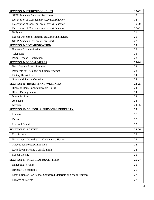| <b>SECTION 7- STUDENT CONDUCT</b>                                       | $17 - 22$ |  |
|-------------------------------------------------------------------------|-----------|--|
| <b>STEP Academy Behavior Responses</b><br>17                            |           |  |
| Description of Consequences Level 2 Behavior<br>18                      |           |  |
| Description of Consequences Level 3 Behavior                            | 19-20     |  |
| Description of Consequences Level 4 Behavior                            | $20 - 21$ |  |
| <b>Bullying</b><br>21                                                   |           |  |
| School Director's Authority on Discipline Matters<br>21                 |           |  |
| <b>STEP Academy Offences Flow Chart</b><br>22                           |           |  |
| <b>SECTION 8- COMMUNICATION</b><br>23                                   |           |  |
| <b>Frequent Communication</b><br>23                                     |           |  |
| Telephone<br>23                                                         |           |  |
| <b>Parent Teacher Conferences</b><br>23                                 |           |  |
| <b>SECTION 9- FOOD &amp; MEALS</b>                                      | $23 - 24$ |  |
| <b>Breakfast and Lunch Program</b><br>23                                |           |  |
| Payments for Breakfast and lunch Program<br>23                          |           |  |
| <b>Dietary Restrictions</b><br>24                                       |           |  |
| <b>Snack and Special Occasions</b><br>24                                |           |  |
| <b>SECTION 10- HEALTH AND WELLNESS</b>                                  | 24-25     |  |
| Illness at Home/ Communicable Illness<br>24                             |           |  |
| <b>Illness During School</b><br>24                                      |           |  |
| Immunizations<br>24<br>24                                               |           |  |
| Accidents                                                               |           |  |
| Medicine<br>25                                                          | 24-25     |  |
| <b>SECTION 11- SCHOOL &amp; PERSONAL PROPERTY</b>                       |           |  |
| 25<br>Lockers                                                           |           |  |
| 25<br>Desks                                                             |           |  |
| Lost and Found<br>25                                                    |           |  |
| <b>SECTION 12- SAFTEY</b>                                               | 25-26     |  |
| 25<br>Data Privacy                                                      |           |  |
| Harassment, Intimidation, Violence and Hazing<br>25                     |           |  |
| <b>Student Sex Nondiscrimination</b><br>26                              |           |  |
| 26<br>Lock down, Fire and Tornado Drills                                |           |  |
| 26<br><b>School Closing</b>                                             |           |  |
| $26 - 27$<br><b>SECTION 13- MICELLANEOUS ITEMS</b>                      |           |  |
| 26<br><b>Handbook Revision</b>                                          |           |  |
| 26<br><b>Birthday Celebrations</b>                                      |           |  |
| 27<br>Distribution of Non School Sponsored Materials on School Premises |           |  |
| Divorce of Parents<br>27                                                |           |  |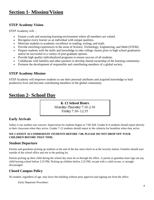# **Section 1- Mission/Vision**

#### **STEP Academy Vision**

STEP Academy will…

- Ensure a safe and nurturing learning environment where all members are valued.
- Recognize every learner as an individual with unique qualities.
- Motivate students to academic excellence in reading, writing, and math.
- Provide enriching experiences in the areas of Science, Technology, Engineering, and Math (STEM).
- Prepare students with the skills and knowledge to take college classes prior to high school graduation and/or be successful in a variety of post-graduate options.
- Provide high quality individualized programs to ensure success of all students.
- Collaborate with families and other partners to develop shared ownership of the learning community.
- Promote the development of responsible and contributing members of a global society.

#### **STEP Academy Mission**

STEP Academy will empower students to use their personal attributes and acquired knowledge to lead productive lives and become contributing members of the global community.

# **Section 2- School Day**

**K-12 School Hours** Monday-Thursday 7:30-2:30 Friday 7:30-12:35

#### **Early Arrivals**

Safety is our number one concern. Supervision for students begins at 7:00 AM. Grades K-6 students should report directly to their classroom when they arrive. Grades 7-12 students should report to the cafeteria for breakfast when they arrive.

#### **WE CANNOT ACCOMMODATE STUDENTS BEFORE 7:00. PLEASE DO NOT DROP OFF YOUR CHILDREN BEFORE THAT TIME.**

#### **Student Departure**

Parents and guardians picking up students at the end of the day must check in at the security station. Families should wait outside of the school office and not in the parking lot.

Parents picking up their child during the school day must do so through the office. A parent or guardian must sign out any child leaving school before 2:25 PM. Picking up children before 2:25 PM, except with a valid excuse, is strongly discouraged.

#### **Closed Campus Policy**

No student, regardless of age, may leave the building without prior approval and signing out from the office.

Early Departure Procedure: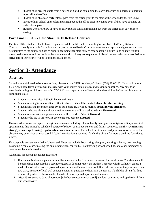- Student must present a note from a parent or guardian explaining the early departure or a parent or guardian must call in the office.
- Student must obtain an early release pass from the office prior to the start of the school day (before 7:25).
- Parent or high school age student must sign out at the office prior to leaving, even if they have obtained an early release pass.
- Students who are PSEO or have an early release contract must sign out from the office each day prior to leaving.

#### **Part Time PSEO & Late Start/Early Release Contract**

Part time PSEO students should have a regular schedule on file in the counseling office. Late Start/Early Release Contracts are only available for seniors and only on a limited basis. Contracts must have all approval signatures and must be submitted to the counseling office prior to beginning late start/early release schedule. Failure to do so may result in unexcused absences and the resulting legal/academic/disciplinary consequences. A list of students who have permission to arrive late or leave early will be kept in the main office.

# **Section 3- Attendance**

#### **Absences**

Should your child need to be absent or late, please call the STEP Academy Office at (651) 289-6120. If you call before 6:30 AM, please leave a voicemail message with your child's name, grade, and reason for absence. Any parent or guardian bringing a child to school after 7:30 AM must report to the office and sign the child in, before the child can be admitted to class.

- Students arriving after 7:30 will be marked **tardy**.
- Students coming to school after 9:00 but before 10:45 will be marked **absent for the morning.**
- Students leaving the school after 10:45 but before 1:25 will be marked **absent for the afternoon**.
- Students who are absent without a legitimate excuse will be marked **Absent Unexcused**.
- Students absent with a legitimate excuse will be marked **Absent Excused**.
- Students who are in ISS or OSS are considered **Absent Excused**.

Excused Absences are accepted for legitimate excuses including: illness, family emergencies, religious holidays, medical appointments that cannot be scheduled outside of school, court appearances, and family vacations. **Family vacations are strongly encouraged during regular school vacation periods.** The school must be notified prior to any vacation or the absence may be marked as unexcused. Medical verification is required if a child is absent for more than three days due to illness.

Unacceptable excuses recorded as Unexcused Absences include: babysitting, shopping, working at home, oversleeping, having no clean clothes, missing the bus, running late, car trouble, not knowing school schedule, and other incidences as determined by administration.

Guidelines for school attendance issues are:

- 1. If a student is absent, a parent or guardian must call school to report the reason for the absence. The absence will be considered unexcused if a parent or guardian does not report the student's absence within 72 hours, unless a medical verification note is provided upon the student's return to school. If a child is absent or tardy for more than two days, a school official will contact a parent or guardian to determine the reason. If a child is absent for three or more days due to illness, medical verification is required upon student's return.
- 2. After 15 consecutive days of absences [whether excused or unexcused], the law requires us to drop the child from our school roster.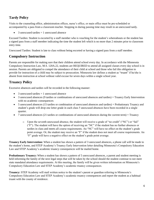## **Tardy Policy**

Visits to the counseling office, administration offices, nurse's office, or main office must be pre-scheduled or accompanied by a pass from a classroom teacher. Stopping in during passing time may result in an unexcused tardy.

3 unexcused tardies = 1 unexcused absence

Excused Tardies: Student is escorted by a staff member who is vouching for the student's whereabouts or the student has a signed pass from a staff member indicating the time the student left which is no more than 2 minutes prior to classroom entry time.

Unexcused Tardies: Student is late to class without being escorted or having a signed pass from a staff member.

## **Compulsory Instruction**

Parents are responsible for making sure that their children attend school every day. In accordance with the Minnesota Compulsory Instruction Law, M.S. 120A.22, students are REQUIRED to attend all assigned classes every day school is in session. Parents are obligated to compel the attendance of their child at school and those who fail this obligation to provide for instruction of a child may be subject to prosecution. Minnesota law defines a student as "truant" if he/she is absent from instruction at school without valid excuse for seven days within a single school year.

## **Truancy Policy**

Excessive absences and tardies will be recorded in the following manner:

- 3 unexcused tardies = 1 unexcused absence
- 3 unexcused absences (9 tardies or combinations of unexcused absences and tardies) = Truancy Early Intervention with no academic consequences
- 5 unexcused absences (15 tardies or combination of unexcused absences and tardies) = Probationary Truancy and student's grade will drop one letter grade in each class 5 unexcused absences have been recorded in a single quarter.
- 7 unexcused absences (21 tardies or combinations of unexcused absences during the current term) = Truancy
	- o Upon the seventh unexcused absence, the student will receive a grade of "no credit" ("NC") or "fail" ("F"). The student will have the option of receiving an "NC" if the student has no further absences or tardies in class and meets all course requirements. An "NC" will have no effect on the student's grade point average. Or, the student may receive an "F" if the student does not meet all course requirements. An "F" grade will have a negative effect on the student's grade point average.

**Truancy Early Intervention:** When a student has shown a pattern of 3 unexcused absences, a phone call will be made to the student's home, and STEP Academy's Truancy Early Intervention letter detailing Minnesota's Compulsory Education Law and STEP Academy's academic truancy consequences will be mailed home.

**Probationary Truancy:** When a student has shown a pattern of 5 unexcused absences, a parent and student meeting is held informing the family of the next legal steps that will be taken by the school should the student continue to not meet state mandated attendance requirements. At this meeting, the family will be given written information on Minnesota's Compulsory Education Law and STEP Academy's academic truancy consequences.

**Truancy:** STEP Academy will mail written notice to the student's parent or guardian referring to Minnesota's Compulsory Education Law and STEP Academy's academic truancy consequences and report the student as a habitual truant with the county of residence.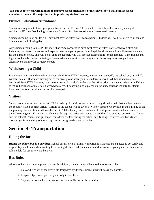**It is our goal to work with families to improve school attendance. Studies have shown that regular school attendance is one of the major factors in predicting student success.**

#### **Physical Education Attendance**

Students are required to have appropriate footwear for PE class. This includes tennis shoes for both boys and girls enrolled in PE class. Not having appropriate footwear for class constitutes an unexcused absence.

Students needing to sit out for a PE day must have a written note from a parent. Students will not be allowed to sit out and bring a note the following day

Any student needing to miss PE for more than three consecutive days must have a written note signed by a physician indicating the reason for excuse and expected return to participation date. Physician documentation will excuse a student for the duration noted. This will be given to the teacher, who will provide expectations for the absence. At the middle and high school levels, students missing an extended amount of time due to injury or illness may be re-assigned to an alternative class in order to receive credit.

## **Withdrawing a Child**

In the event that you wish to withdraw your child from STEP Academy, we ask that you notify the school of your child's withdrawal date. If you are moving out of the area, please share your new address as well. All books and materials borrowed from STEP Academy must be returned to individual teachers or the office prior to a student's departure. Failure to return books and/or materials borrowed may result in having a hold placed on the student transcript until the item(s) have been returned or reimbursement has been paid.

## **Visitors**

Safety is our number one concern at STEP Academy. All visitors are required to sign-in with their first and last name at the security station or main office. Visitors to the school will be given a "Visitor" label to wear while in the building or on the property. Persons found without the "Visitor" label by any staff member will be stopped, questioned, and escorted to the office to register. Visitors may only enter through the office entrance to the building (the entrance between the Church and the school). Parents and guests are considered visitors during the school day. Siblings, relatives, and friends are discouraged from visiting school except during designated school activities.

# **Section 4- Transportation**

## **Riding the Bus**

**Riding the school bus is a privilege.** School bus safety is of primary importance. Students are expected to act safely and responsibly at all times while waiting for or riding the bus. Older students should be aware of younger students and act as role models for bus safety and behavior.

## **Bus Rules**

All school behavior rules apply on the bus. In addition, students must adhere to the following rules:

- 1. Follow directions of the driver. (If designated by driver, students must sit in assigned seats.)
- 2. Keep all objects and parts of your body inside the bus.
- 3. Stay in your seat with your feet on the floor while the bus is in motion.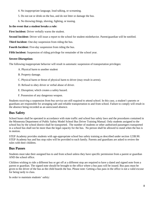- 4. No inappropriate language, loud talking, or screaming.
- 5. Do not eat or drink on the bus, and do not litter or damage the bus.
- 6. No throwing things, shoving, fighting, or teasing.

#### **In the event that a student breaks a rule:**

**First Incident:** Driver verbally warns the student.

**Second Incident:** Driver will issue a report to the school for student misbehavior. Parent/guardian will be notified.

**Third Incident:** One-day suspension from riding the bus.

**Fourth Incident:** Five-day suspension from riding the bus.

**Fifth Incident:** Suspension of riding privilege for remainder of the school year.

#### **Severe Disruption:**

The following inappropriate behavior will result in automatic suspension of transportation privileges:

A. Physical harm to another student

- B. Property damage.
- C. Physical harm or threat of physical harm to driver (may result in arrest).
- D. Refusal to obey driver or verbal abuse of driver.
- E. Disruption; which creates a safety hazard.
- F. Possession of any dangerous weapon.

Students receiving a suspension from bus service are still required to attend school. In this case, a student's parents or guardians are responsible for arranging safe and reliable transportation to and from school. Failure to comply will result in the absence being recorded as an unexcused absence.

#### **Bus Safety**

School buses shall be operated in accordance with state traffic and school bus safety laws and the procedures contained in the Minnesota Department of Public Safety Model School Bus Driver Training Manual. Only students assigned to the school bus by the school district shall be transported. The number of students or other authorized passengers transported in a school bus shall not be more than the legal capacity for the bus. No person shall be allowed to stand when the bus is in motion.

STEP Academy provides students with age-appropriate school bus safety training as described under section 123B.90. STEP Academy bus and bus stop rules will be provided to each family. Parents and guardians are asked to review the rules with their children.

#### **Bus Passes**

Students must take their assigned bus to and from school unless they have specific permission from a parent or guardian AND the school office.

Children wishing to ride a different bus or get off at a different stop are required to have a dated and signed note from a parent or guardian. The signed note should be brought to the office where a bus pass will be issued. Bus pass must be given to the driver of the bus as the child boards the bus. Please note: Getting a bus pass in the office is not a valid excuse for being tardy to class.

In order to maintain students' safety: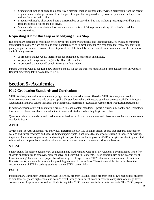- Students will not be allowed to go home by a different method without either written permission from the parent or guardian or verbal permission from the parent or guardian is given directly to office personnel and a pass is written from the main office.
- Students will not be allowed to board a different bus or vary their bus stop without presenting a valid bus pass from the school office to the bus driver.
- Students who wish to obtain a bus pass must do so before 12:30 to prevent a delay of the bus's scheduled departure time.

#### **Requesting A New Bus Stop or Modifying a Bus Stop**

Bus routes are designed to maximize efficiency for the number of students and locations that are served and minimize transportation costs. We are not able to offer doorstep service to most students. We recognize that many parents would greatly appreciate a more convenient bus stop location. Unfortunately, we are unable to accommodate most requests for the following reasons:

- A proposed change would increase the bus schedule by more than one minute.
- A proposed change would negatively affect other students.
- A proposed change would benefit fewer than five students.

Parents who still wish to request a new bus stop should fill out the bus stop modification form available on our website. Request processing takes two to three weeks.

# **Section 5- Academics**

#### **K-12 Graduation Standards and Curriculum**

STEP Academy maintains an academically rigorous program. All classes offered at STEP Academy are based on Minnesota content area standards or other applicable standards where Minnesota standards are not available. Minnesota Graduation Standards can be viewed at the Minnesota Department of Education website (http://education.state.mn.us).

In addition, various curriculum materials are used to teach content standards. Specific curriculum, books, and technology tools used in classes are shared on syllabi sent home with students when they begin each class.

Questions related to standards and curriculum can be directed first to content area and classroom teachers and then to our Academic Dean.

#### **AVID**

AVID stands for Advancement Via Individual Determination. AVID is a high school course that prepares students for college and career readiness and success. Students participate in activities that incorporate strategies focused on writing, inquiry, collaboration, organization, and reading to support their academic growth. AVID strategies are also implemented school wide to help students develop skills that lead to more academic success and rigorous learning.

#### **STEM**

STEM stands for science, technology, engineering, and mathematics. One of STEP Academy's commitments is to offer students opportunities to discover, problem solve, and study STEM concepts. These opportunities come in a variety of forms including: hands-on labs, project-based learning, field experiences, STEM elective courses instead of traditional fine arts credits, and outside partnerships providing real-world connections. The outcome of this focus has been the encouragement of STEP Academy students to enter STEM career fields.

#### **PSEO**

Postsecondary Enrollment Options (PSEO): The PSEO program is a dual credit program that allows high school students to simultaneously earn high school and college credit through enrollment in and successful completion of college-level courses on a college campus or online. Students may take PSEO courses on a full- or part-time basis. The PSEO program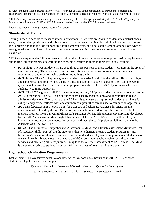provides students with a greater variety of class offerings as well as the opportunity to pursue more challenging coursework than may be available at the high school. The tuition, fees and required textbooks are at no cost to students.

STEP Academy students are encouraged to take advantage of the PSEO program during their  $11<sup>th</sup>$  and  $12<sup>th</sup>$  grade years. More information about PSEO at STEP Academy can be found on the STEP Academy webpage.

https://stepacademymn.org/students/pseo-information/

#### **Standardized Testing**

Testing is used in schools to measure student achievement. State tests are given to students in a district once a year, based on their grade level and subject area. Classroom tests are given by individual teachers on a more regular basis and may include quizzes, mid-terms, chapter tests, and final exams, among others. Both types of tests give educators an idea of how well their students are learning the concepts presented to them in the classroom.

STEP Academy uses the following tests throughout the school year to meet state required testing requirements and to track student progress in learning the concepts presented to them in their day to day learning.

- **FastBridge**: The FastBridge tests are used three times per year to track students' progress in the areas of math and reading. These tests are also used with students who are receiving intervention services in order to track and monitor their weekly or monthly growth.
- **ACT Aspire**: The ACT Aspire is given to students in grades 8 and 10 in the fall to fulfill state college and career readiness requirements. This test also helps predict student scores on the ACT in eleventh grade, which allows teachers to help better prepare students to take the ACT by knowing which areas students need more support in.
- **ACT:** The ACT is given to all  $11<sup>th</sup>$  grade students, and any  $12<sup>th</sup>$  grade students who have never taken the ACT, in the spring. The ACT is an entrance exam used by most colleges and universities to make admissions decisions. The purpose of the ACT test is to measure a high school student's readiness for college, and provide colleges with one common data point that can be used to compare all applicants.
- **ACCESS for ELLs 2.0:** The ACCESS for ELLs 2.0 and Alternate ACCESS for ELLs are the assessments developed by the WIDA consortium and administered to English learners in order to measure progress toward meeting Minnesota's standards for English language development, developed by the WIDA consortium. Most English learners will take the ACCESS for ELLs 2.0, but English learners who received special education services and meet the participation guidelines may take the Alternate ACCESS for ELLs.
- **MCA:** The Minnesota Comprehensive Assessments (MCA) and alternate assessment Minnesota Test of Academic Skills (MTAS) are the state tests that help districts measure student progress toward Minnesota's academic standards and also meet federal and state legislative requirements. Students take one test in each subject. Most students take the MCA, but students who receive special education services and meet eligibility requirements may take the alternate assessment MTAS instead. The MCA is given each spring to students in grades 3-11 in the areas of math, reading and science.

## **High School Graduation Requirements**

Each credit at STEP Academy is equal to a one class-period, yearlong class. Beginning in 2017-2018, high school students are eligible for six credits per year.

| $Quarter = 0.25$ credit                     | Semester= $0.5$ Credit Quarter 1+ Quarter 2= Sem 1 grade |
|---------------------------------------------|----------------------------------------------------------|
| Quarter $3 +$ Quarter $4=$ Semester 2 grade | Semester $1 +$ Semester $2 = 1$ credit                   |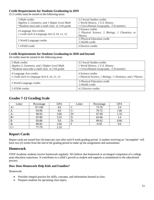#### **Credit Requirements for Students Graduating in 2019**

21.5 credits must be earned in the following areas:

| 3 Math credits                                                          | 3.5 Social Studies credits                    |
|-------------------------------------------------------------------------|-----------------------------------------------|
| Algebra 2, Geometry, and 1 Higher Level Math                            | 1 World History, 1 U.S. History               |
| *Students must take a math class in 11th grade                          | 1 Civics/Human Geography, .5 Economics        |
|                                                                         | 3 Science credits                             |
| 4 Language Arts credits<br>1 credit each in Language Arts 9, 10, 11, 12 | 1 Physical Science, 1 Biology, 1 Chemistry or |
|                                                                         | <i>Physics</i>                                |
|                                                                         | .5 Physical Education credit                  |
| 2 World Language credits                                                | .5 Health credit                              |
| 1 STEM credit                                                           | 4 Elective credits                            |
|                                                                         |                                               |

#### **Credit Requirements for Students Graduating in 2020 and beyond**

24 credits must be earned in the following areas:

| 3 Math credits                                                          | 3.5 Social Studies credits                                                     |
|-------------------------------------------------------------------------|--------------------------------------------------------------------------------|
| Algebra 2, Geometry, and 1 Higher Level Math                            | 1 World History, 1 U.S. History                                                |
| *Students must take a math class in 11th grade                          | 1 Civics/Human Geography, .5 Economics                                         |
| 4 Language Arts credits<br>1 credit each in Language Arts 9, 10, 11, 12 | 4 Science credits<br>1 Physical Science, 1 Biology, 1 Chemistry, and 1 Physics |
| 2 World Language credits                                                | .5 Physical Education credit<br>.5 Health credit                               |
| 2 STEM credits                                                          | 4.5 Elective credits                                                           |

#### **Grades 7-12 Grading Scale**

| Letter | Percentage | <b>GPA</b> | Letter | Percentage | <b>GPA</b> |
|--------|------------|------------|--------|------------|------------|
| $A+$   | 97-100     | 4.0        |        | 73-76      | 2.0        |
| A      | 93-96      | 4.0        |        | 70-72      | 1.66       |
| A-     | 90-92      | 3.66       | $_{+}$ | 67-69      | 1.33       |
| $B+$   | 87-89      | 3.33       |        | 63-66      | 1.0        |
| B      | 83-86      | 3.0        | l )-   | $60 - 62$  | 0.66       |
| B-     | 80-82      | 2.66       | F      | $0 - 59$   | $0.0\,$    |
| $C+$   | 77-79      | 2.33       |        |            |            |

#### **Report Cards**

Report cards are issued four (4) times per year after each 9-week grading period. A student receiving an "incomplete" will have two (2) weeks from the end of the grading period to make up the assignments and assessments.

#### **Homework**

STEP Academy students receive homework regularly. We believe that homework is an integral component of a college prep education experience. It contributes to a child's growth as student and supports a commitment to the educational process.

#### **How Does Homework Help Kids and Families?**

Homework:

- Provides integral practice for skills, concepts, and information learned in class.
- Prepares students for upcoming class topics.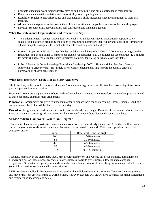- Compels students to work independently, develop self-discipline, and build confidence in their abilities.
- Requires students to take initiative and responsibility for completing a task.
- Establishes regular homework routines and organizational skills increasing student commitment to their own learning.
- Allows parents to play an active role in their child's education and helps them to witness their child's progress.
- Develops responsibility, accountability, self-confidence, and time management

#### **What Do Professional Organizations and Researchers Say?**

- The National Parent Teacher Association: "National PTA and its constituent associations support teachers, schools, and districts in promoting the design of meaningful homework that will advance a spirit of learning with a focus on quality assignments to motivate students based on grade and ability."
- Research Report from Harris Cooper (Review of Educational Research, 2006): "10-20 minutes per night in the first grade, and an additional 10 minutes per grade level thereafter (e.g., 20 minutes for second grade, 120 minutes for twelfth). High school students may sometimes do more, depending on what classes they take."
- Robert Marzano & Debra Pickering (Educational Leadership, 2007): "Homework has decades of research supporting its effective use." This article sites seven research studies that support the positive effects of homework on student achievement.

#### **What Does Homework Look Like at STEP Academy?**

STEP Academy adheres to the National Education Association's suggestion that effective homework plays three roles: practice, preparation, or extension.

**Practice:** Lessons are taught while at school, and students take assignments home to perform independent practice related to those concepts. Example: math assignments

**Preparation:** Assignments are given to students in order to prepare them for an up-coming lesson. Example: reading a section in a text book that will be discussed the next day

**Extension:** Assignments extend a concept or topic that has already been taught. Example: Students learn about Newton's Laws in science and are assigned an article to read and respond to about how Newton discovered the laws.

#### **STEP Academy Homework: What Can I Expect?**

Please note: Times are approximate. Some students work faster or more slowly than others. Also, there will be times during the year when students will receive no homework or increased homework. This chart is provided only as an average estimate.

| Grade    | Homework Time Per Night |
|----------|-------------------------|
| $K-1$    | 10-20 minutes           |
| $2 - 3$  | 20-30 minutes           |
| 4-6      | 40-60 minutes           |
| $7 - 8$  | 60-80 minutes           |
| $9 - 12$ | 90-120 minutes          |

Teachers, especially at the elementary level, may provide homework on a weekly basis, for example, going home on Monday and due on Friday. Some teachers of older students also try to give students a few nights to complete assignments. No matter the age, if your child claims he or she has no homework, it is always of academic value to require your child to read for recommended homework time.

STEP Academy's policy is that homework is assigned at the individual teacher's discretion. Teachers give assignments and may or may not give class time to work on them. However, teachers will always give due dates for major assignments and reminders of upcoming due dates.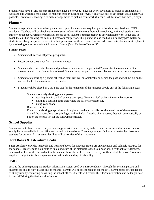Students who have a valid absence from school have up to two (2) days for every day absent to make up assigned class work and one week (5 school days) to make up tests or quizzes. However, it is always best to get caught up as quickly as possible. Parents are encouraged to make arrangements to pick up homework if a child is ill for more than two (2) days.

#### **Planners**

Students are provided with a student planner each year. Planners are a required part of student organization at STEP Academy. Teachers will be checking to make sure students fill them out thoroughly each day, until each student shows mastery of the habit. Parents or guardians should check student's planner nightly to see what homework is due and to coach the child on building the habit of homework completion. This planner is also used as our hallway pass system so students are always expected to have it in their possession while at school. Students who lose their planner must replace it by purchasing one at the Assistant Academic Dean's (Mrs. Tholen) office for \$5.

#### **Student Passes:**

- Students will receive 10 passes per quarter.
- Passes do not carry over from quarter to quarter.
- Students who lose their planner and purchase a new one will be permitted 2 passes for the remainder of the quarter in which the planner is purchased. Students may not purchase a new planner in order to get more passes.
- Students caught using a planner other than their own will automatically be denied the pass and will be put on the no pass list for the remainder of the quarter.
- Students will be placed on a No Pass List for the remainder of the semester should any of the following occur:
	- o Students routinely abusing planner passes:
		- wasting time in the hall when given a pass  $(2 + min at $$$
		- going to a location other than where the pass was written for.
		- using your phone
	- o Receive 9 tardies
	- o Found to be abusing prayer time will be placed on the no pass list for the remainder of the semester. Should the student lose pass privileges within the last 2 weeks of a semester, they will automatically be put on the no pass list for the following semester.

#### **School Supplies**

Students need to have the necessary school supplies with them every day to help them be successful in school. School supply lists are available in the office and posted on the website. There may be specific items requested by classroom teachers for projects. In that event, families will be notified of this in advance.

#### **Text Books & Literature Books**

STEP Academy provides textbooks and literature books for students. Books are an expensive and valuable resource for the school. Please remind your child to take good care of the materials loaned to him or her. If textbooks are damaged, destroyed, or lost while checked out to the student, he or she will be required to pay for the cost of the book. Parents are required to sign the textbook agreement as their understanding of this policy.

#### **JMC**

JMC is the online grading and student information system used by STEP Academy. Through this system, parents and students are able to view grades and attendance. Parents will be able to sign up for the JMC parent portal at Open House or at any time by contacting or visiting the school office. Students will receive their login information and be taught how to use JMC during the first month of school.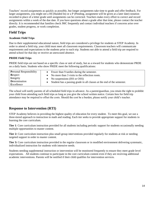Teachers' record assignments as quickly as possible, but longer assignments take time to grade and offer feedback. For larger assignments, you might see a HI (Handed In) or a P (Pending, assignment will be given at a later date) notation recorded in place of a letter grade until assignments can be corrected. Teachers make every effort to correct and record assignments within a week of the due date. If you have questions about a grade after that time, please contact the teacher directly. It is recommended that families check JMC frequently and contact individual teachers if concerns arise over grades, student progress, or work completion.

## **Field Trips**

#### **Academic Field Trips**

Due to their supplemental educational nature, field trips are considered a privilege for students at STEP Academy. In order to attend a field trip, your child must meet all classroom requirements. Classroom teachers will communicate requirements and expectations to the students prior to each trip. Students not able to attend a field trip are required to attend school for that day or receive an unexcused absence.

#### **PRIDE Field Trips**

PRIDE field trips are not based on a specific class or unit of study, but as a reward for students who demonstrate PRDE on a daily basis. Students who show PRIDE meet the following qualifications:

| <b>Personal Responsibility</b> | • Fewer than 9 tardies during the semester.                              |
|--------------------------------|--------------------------------------------------------------------------|
| <b>Respect</b>                 | • No more than $3$ visits to the reflection room.                        |
| Integrity                      | • No suspensions $(ISS or OSS)$                                          |
| <b>D</b> etermination          | • Student has a passing grade in all classes at the end of the semester. |
| Excellence                     |                                                                          |

The school will notify parents of all scheduled field trips in advance. As a parent/guardian, you retain the right to prohibit your child from attending such field trips as long as you give the school written notice. Certain fees for field trip attendance may be required to offset the costs. Should the cost be a burden, please notify your child's teacher.

## **Response to Intervention (RTI)**

STEP Academy believes in providing the highest quality of education for every student. To meet this goal, we use a three-tiered approach to instruction in math and reading. Each tier seeks to provide appropriate support for students in learning the core curriculum.

**Tier 1**: Core curriculum instruction provided for all students including periodic support for students occasionally needing multiple opportunities to master content.

**Tier 2:** Core curriculum instruction plus small group interventions provided regularly for students at risk or needing targeted support in order to master content.

**Tier 3:** Core curriculum instruction provided in the regular classroom or in modified environment delivering systematic, individualized instruction for students with intensive needs.

Students needing supplemental instruction or intervention will be monitored frequently to ensure they meet grade level expectations. All students continue to participate in the core curriculum content even if they are receiving additional academic interventions. Parents will be notified if their child qualifies for intervention services.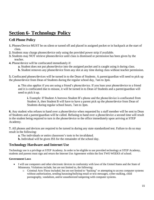# **Section 6- Technology Policy**

#### **Cell Phone Policy**

- **1.** Phones/Device MUST be on silent or turned off and placed in assigned pocket or in backpack at the start of class.
- **2.** Students may charge phones/device only using the provided power strip if available.
- **3.** Students may NOT retrieve phones/device until class is dismissed or permission has been given by the teacher.
- **4.** Phone/device will be confiscated immediately if:
	- **a.** Student does not put phone/device into the assigned pocket and is caught using it during class.
	- **b.** Student removes any phone/device from any slot at any time during class without teacher permission.

**5.** Confiscated phones/devices will be turned in to the Dean of Students. A parent/guardian will need to pick up the phone/device from Dean of Students during the regular school day, 7am to 3pm.

**a.** This also applies if you are using a friend's phone/device. If you loan your phone/device to a friend and it is confiscated due to misuse, it will be turned in to Dean of Students and a parent/guardian will need to pick it up.

**i.** Example: If Student A borrows Student B's phone and the phone/device is confiscated from Student A, then Student B will have to have a parent pick up the phone/device from Dean of Students during regular school hours, 7am to 3pm.

**6.** Any student who refuses to hand over a phone/device when requested by a staff member will be sent to Dean of Students and a parent/guardian will be called. Refusing to hand over a phone/device a second time will result in the student being required to turn in the phone/device to the office immediately upon arriving at STEP Academy.

**7.** All phones and devices are required to be turned in during any state standardized test. Failure to do so may result in the following:

**a.** The individuals or entire classroom's tests to be invalidated.

**b.** Individual will be given ISS for the remainder of the school day.

#### **Technology Hardware and Internet Use**

Technology use is a privilege at STEP Academy. In order to be eligible to use provided technology at STEP Academy, students and parents must sign and return the Internet Use Agreement within the first TWO WEEKS of school.

#### **Government Laws**

- I will use computers and other electronic devices in conformity with laws of the United States and the State of Minnesota. Violations include, but are not limited to, the following:
	- o Criminal Acts-These included, but are not limited to "hacking" or attempting to access computer systems without authorization, sending harassing/bullying email or text messages, cyber-stalking, child pornography, vandalism, and/or unauthorized tampering with computer systems.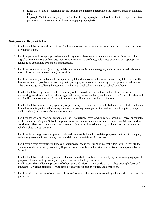- o Libel Laws-Publicly defaming people through the published material on the internet, email, social sites, etc.,
- o Copyright Violations-Copying, selling or distributing copyrighted materials without the express written permission of the author or publisher or engaging in plagiarism.

#### **Netiquette and Responsible Use**

- $\Box$  I understand that passwords are private. I will not allow others to use my account name and password, or try to use that of others.
- $\Box$  I will be polite and use appropriate language in my virtual learning environments, online postings, and other digital communications with others. I will refrain from using profanity, vulgarities or any other inappropriate language as determined by school administrators.
- I will use communications (e.g. blogs, wikis, podcasts, chat, instant-messaging, social sites, discussion boards, virtual learning environments, etc.) responsibly.
- $\Box$  I will not use computers, handheld computers, digital audio players, cell phones, personal digital devices, or the Internet to send or post hate or harassing mail, pornography, make discriminatory or derogatory remarks about others, or engage in bullying, harassment, or other antisocial behaviors either at school or at home.
- $\Box$  I understand that I represent the school in all my online activities. I understand that what I do on social networking websites should not reflect negatively on my fellow students, teachers or on the School. I understand that I will be held responsible for how I represent myself and my school on the internet.
- I understand that masquerading, spoofing, or pretending to be someone else is forbidden. This includes, but is not limited to, sending out email, creating accounts, or posting messages or other online content (e.g. text, images, audio or video) in someone else's name as a joke.
- □ I will use technology resources responsibly. I will not retrieve, save, or display hate-based, offensive, or sexually explicit material using any School computer resources. I am responsible for not pursuing material that could be considered offensive. I understand that I am to notify an adult immediately if by accident I encounter materials, which violate appropriate use.
- $\Box$  I will use technology resources productively and responsibly for school-related purposes. I will avoid using any technology resource in such a way that would disrupt the activities of other users.
- $\Box$  I will refrain from attempting to bypass, or circumvent, security settings or internet filters, or interfere with the operation of the network by installing illegal software, or web-based services and software not approved by the School.
- $\Box$  I understand that vandalism is prohibited. This includes but is not limited to modifying or destroying equipment, programs, files, or settings on any computer or other technology resource.
- $\Box$  I will respect the intellectual property of other users and information providers. I will obey copyright laws and guidelines. I will not plagiarize or use other's work without proper citation and permission.
- $\Box$  I will refrain from the use of or access of files, software, or other resources owned by others without the owner's permission.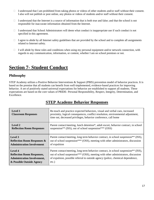- $\Box$  I understand that I am prohibited from taking photos or videos of other students and/or staff without their consent. I also will not publish or post online, any photos or videos of students and/or staff without their consent.
- $\Box$  I understand that the Internet is a source of information that is both true and false; and that the school is not responsible for inaccurate information obtained from the Internet.
- $\Box$  I understand that School Administrators will deem what conduct is inappropriate use if such conduct is not specified in this agreement.
- $\Box$  I agree to abide by all Internet safety guidelines that are provided by the school and to complete all assignments related to Internet safety.
- $\Box$  I will abide by these rules and conditions when using my personal equipment and/or network connection, with regards to any communication, information, or content, whether I am on school premises or not.

# **Section 7- Student Conduct**

#### **Philosophy**

STEP Academy utilizes a Positive Behavior Interventions & Support (PBIS) prevention model of behavior practices. It is based on the premise that all students can benefit from well-implemented, evidence-based practices for improving behavior. A set of positively stated universal expectations for behavior are established to support all students. These expectations are based on the core values of PRIDE- Personal Responsibility, Respect, Integrity, Determination, and Excellence.

| <b>Level 1</b><br><b>Classroom Responses</b> | Re-teach and practice expected behaviors, visual and verbal cues, increased<br>proximity, logical consequences, conflict resolution, environmental adjustment,<br>time out, decreased privileges, behavior conference, call home |
|----------------------------------------------|----------------------------------------------------------------------------------------------------------------------------------------------------------------------------------------------------------------------------------|
| Level 2                                      | Parent contact/meeting, lunch detention*, adult escort, behavior contract, in school                                                                                                                                             |
| <b>Reflection Room Responses</b>             | suspension <sup>**</sup> (ISS), out of school suspension <sup>***</sup> (OSS)                                                                                                                                                    |
| Level 3                                      | Parent contact/meeting, long term behavior contract, in school suspension** (ISS),                                                                                                                                               |
| <b>Reflection Room Responses &amp;</b>       | out of school suspension*** (OSS), meeting with other administrators, discussion                                                                                                                                                 |
| <b>Administration Involvement</b>            | of expulsion                                                                                                                                                                                                                     |
| Level 4                                      | Parent contact/meeting, long term behavior contract, in school suspension** (ISS),                                                                                                                                               |
| <b>Reflection Room Responses,</b>            | out of school suspension*** (OSS), meeting with other administrators, discussion                                                                                                                                                 |
| <b>Administration Involvement,</b>           | of expulsion, possible referral to outside agency (police, chemical dependence,                                                                                                                                                  |
| & Possible Outside Agency                    | $etc.$ )                                                                                                                                                                                                                         |

# **STEP Academy Behavior Responses**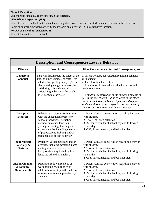#### **\*Lunch Detention**

Student easts lunch in a room other than the cafeteria.

**\*\*In School Suspension (ISS)**

Student reports to school, but does not attend regular classes. Instead, the student spends the day in the Reflection Room or another supervised office. Student works on daily work in this alternative location.

**\*\*\*Out of School Suspension (OSS)**

Student does not report to school.

| <b>Description and Consequences Level 2 Behavior</b>   |                                                                                                                                                                                                                                                                                             |                                                                                                                                                                                                                                                                                                                                                                                                                                                                        |  |
|--------------------------------------------------------|---------------------------------------------------------------------------------------------------------------------------------------------------------------------------------------------------------------------------------------------------------------------------------------------|------------------------------------------------------------------------------------------------------------------------------------------------------------------------------------------------------------------------------------------------------------------------------------------------------------------------------------------------------------------------------------------------------------------------------------------------------------------------|--|
| <b>Offense</b>                                         | <b>Description</b>                                                                                                                                                                                                                                                                          | First Consequence, Second Consequence, etc.                                                                                                                                                                                                                                                                                                                                                                                                                            |  |
| <b>Dangerous</b><br><b>Conduct</b>                     | Behavior that impacts the safety of the<br>student, other students, or staff. This<br>includes disregarding safety signs or<br>rules, entering dangerous areas (the<br>road during arrival/dismissal),<br>participating in behavior that could<br>inflict harm to others, etc.              | 1. Parent Contact, conversation regarding behavior<br>with student.<br>2. 1 week of lunch detention.<br>3. Adult escort in area where behavior occurs and<br>behavior contract.<br>If a student is escorted on to the bus and proceeds to<br>get off the bus, student will be escorted to the office<br>and will need to be picked up. After second offense,<br>student will lose bus privileges for the remainder of<br>the term or three weeks whichever is greater. |  |
| <b>Disruptive</b><br><b>Behavior</b>                   | Behavior that disrupts or interferes<br>with the educational process or<br>school procedures. Disruption<br>includes sustained loud talk,<br>yelling, screaming; blurting out,<br>excessive noise including the use<br>of poppers, play-fighting, and/or<br>sustained out-of-seat behavior. | 1. Parent Contact, conversation regarding behavior<br>with student.<br>2. 1 week of lunch detention.<br>3. ISS for remainder of school day and following<br>school day.<br>4. OSS, Parent meeting, and behavior plan.                                                                                                                                                                                                                                                  |  |
| Inappropriate<br>Language &<br><b>Gestures</b>         | Profanity, verbal messages and/or<br>gestures, including swearing, name<br>calling, or use of words in an<br>inappropriate way including in a<br>language other than English.                                                                                                               | 1. Parent Contact, conversation regarding behavior<br>with student.<br>2. 1 week of lunch detention.<br>3. ISS for remainder of school day and following<br>school day.<br>4. OSS, Parent meeting, and behavior plan.                                                                                                                                                                                                                                                  |  |
| <b>Insubordination</b><br>& Defiance<br>(Level 2 or 3) | Refusal to follow directions or<br>work, talking back, rude to an<br>adult, refusal to stop in the hallway<br>or other area when approached by<br>an adult.                                                                                                                                 | 1. Parent Contact, conversation regarding behavior<br>with student.<br>2. 1 week of lunch detention.<br>3. ISS for remainder of school day and following<br>school day.<br>4. OSS, Parent meeting, and behavior plan.                                                                                                                                                                                                                                                  |  |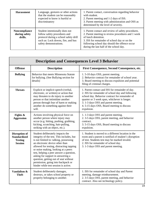| <b>Harassment</b>                                | Language, gestures or other actions<br>that the student can be reasonably<br>expected to know is hurtful or<br>discriminatory                                           | 1. Parent contact, conversation regarding behavior<br>with student.<br>2. Parent meeting and 1-2 days of ISS.<br>3. Parent meeting with administration and OSS as<br>determined by the level of severity.                                                                  |
|--------------------------------------------------|-------------------------------------------------------------------------------------------------------------------------------------------------------------------------|----------------------------------------------------------------------------------------------------------------------------------------------------------------------------------------------------------------------------------------------------------------------------|
| <b>Noncompliance</b><br>during safety<br>drills. | Student intentionally does not<br>follow safety procedures and<br>protocol during a school safety drill<br>such as: Lock downs, fire, and bus<br>safety demonstrations. | 1. Parent contact and review of safety procedures.<br>2. Parent meeting to review procedures and 1 week<br>of lunch detention.<br>3. ISS for remainder of school day or on the<br>following school day should the offence occur<br>during the last half of the school day. |

 $\Box$ 

| <b>Description and Consequences Level 3 Behavior</b>                            |                                                                                                                                                                                                                                                                                                                                                                                                                                                      |                                                                                                                                                                                                                                                                                                         |  |
|---------------------------------------------------------------------------------|------------------------------------------------------------------------------------------------------------------------------------------------------------------------------------------------------------------------------------------------------------------------------------------------------------------------------------------------------------------------------------------------------------------------------------------------------|---------------------------------------------------------------------------------------------------------------------------------------------------------------------------------------------------------------------------------------------------------------------------------------------------------|--|
| <b>Offense</b>                                                                  | <b>Description</b>                                                                                                                                                                                                                                                                                                                                                                                                                                   | First Consequence, Second Consequence, etc.                                                                                                                                                                                                                                                             |  |
| <b>Bullying</b>                                                                 | Behavior that meets Minnesota Statute<br>for bullying. (See Bullying section for<br>details)                                                                                                                                                                                                                                                                                                                                                         | 1.5-10 days OSS, parent meeting.<br>2. Behavior contract for remainder of school year.<br>3. Board meeting to discuss expulsion and potential<br>filing of criminal charges.                                                                                                                            |  |
| <b>Threats</b>                                                                  | Explicit or implicit speech (verbal,<br>electronic, or written) or action that<br>may threaten to do injury to another<br>person or that intimidate another<br>person through fear of harm or making<br>another do something against their<br>will.                                                                                                                                                                                                  | 1. Parent contact and ISS for remainder of day.<br>2. ISS for remainder of school day and following<br>school day. Behavior contract for remainder of<br>quarter or 3 week span, whichever is longer.<br>3. 1-3 days OSS and parent meeting.<br>4.5-15 days OSS, Board meeting to discuss<br>expulsion. |  |
| Fights &<br><b>Aggression</b>                                                   | Actions involving physical force on<br>another person where injury may<br>occur (e.g. hitting, pushing, grabbing,<br>kicking, scratching, hair-pulling,<br>striking with an object, etc.).                                                                                                                                                                                                                                                           | 1. 1-3 days OSS and parent meeting.<br>2. 3-5 days OSS, parent meeting, and behavior<br>contract.<br>3.5-15 days OSS, Board meeting to discuss<br>expulsion.                                                                                                                                            |  |
| <b>Disruption of</b><br><b>Standardized</b><br><b>Testing</b><br><b>Session</b> | Student deliberately impacts the<br>integrity of the test. This includes, but<br>is not limited to: talking, possessing<br>an electronic device other than<br>allowed for testing, distracting tapping<br>or noise making, looking at a peers<br>test, helping a peer answer a question,<br>asking for support in answering a<br>question, getting out of seat without<br>permission, going into backpack or<br>binder while test session is active. | 1. Student is moved to a different location in the<br>room and a parent is notified of student's disruption<br>of test. Students test may be marked invalid.<br>2. ISS for remainder of school day.<br>3. 1-3 days OSS and parent meeting.                                                              |  |
| Vandalism &<br><b>Theft</b>                                                     | Student deliberately damages,<br>destroys, or takes school property or<br>property belonging to another.                                                                                                                                                                                                                                                                                                                                             | 1. ISS for remainder of school day and Parent<br>meeting, damage reimbursement.<br>2. 3-5 days OSS, parent meeting, and behavior<br>contract. Also see technology policy.                                                                                                                               |  |

┓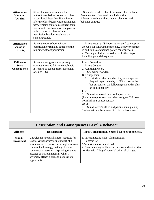| <b>Attendance</b><br><b>Violation</b><br>(On-site)  | Student leaves class and/or lunch<br>without permission, comes into class<br>and/or lunch later than five minutes<br>after the class begins without a signed<br>pass, remains out of class longer than<br>five minutes with a classroom pass, or<br>fails to report to class without<br>permission but does not leave the<br>school grounds. | 1. Student is marked absent unexcused for the hour.<br>Parent contact. One week lunch detention.<br>2. Parent meeting with truancy explanation and<br>behavior contract.                                                                                                                                                                                                                                                                                                                                                                                                 |
|-----------------------------------------------------|----------------------------------------------------------------------------------------------------------------------------------------------------------------------------------------------------------------------------------------------------------------------------------------------------------------------------------------------|--------------------------------------------------------------------------------------------------------------------------------------------------------------------------------------------------------------------------------------------------------------------------------------------------------------------------------------------------------------------------------------------------------------------------------------------------------------------------------------------------------------------------------------------------------------------------|
| <b>Attendance</b><br><b>Violation</b><br>(Off-site) | Student leaves school without<br>permission or remains outside of the<br>building without permission.                                                                                                                                                                                                                                        | 1. Parent meeting, ISS upon return until parent pick<br>up, OSS for following school day. Behavior contract<br>in addition to attendance policy consequences.<br>2. Meeting with director to discuss further steps<br>including potential expulsion.                                                                                                                                                                                                                                                                                                                     |
| <b>Failure to</b><br><b>Serve</b><br>Consequence    | Student is assigned a disciplinary<br>consequence and fails to comply with<br>it (reports to school after suspension<br>or skips ISS)                                                                                                                                                                                                        | <b>Lunch Detention:</b><br>1. Parent Contact<br>2. Additional week.<br>3. ISS remainder of day.<br><b>Bus Suspension:</b><br>1. If student rides bus when they are suspended<br>they will spend the day in ISS and serve the<br>bus suspension the following school day plus<br>an additional day.<br>ISS:<br>1. ISS must be served in school upon return.<br>(Failure to report to school when assigned ISS does<br>not fulfill ISS consequence.)<br>OSS:<br>1. ISS in director's office and parents must pick up.<br>Student will not be allowed to ride the bus home. |

| <b>Description and Consequences Level 4 Behavior</b> |                                                                                                                                                                                                                                                                                                                                 |                                                                                                                                                                                                           |  |  |
|------------------------------------------------------|---------------------------------------------------------------------------------------------------------------------------------------------------------------------------------------------------------------------------------------------------------------------------------------------------------------------------------|-----------------------------------------------------------------------------------------------------------------------------------------------------------------------------------------------------------|--|--|
| <b>Offense</b>                                       | <b>Description</b>                                                                                                                                                                                                                                                                                                              | First Consequence, Second Consequence, etc.                                                                                                                                                               |  |  |
| <b>Sexual</b><br><b>Harassment</b>                   | Unwelcome sexual advances, requests for<br>favors, verbal or physical conduct of a<br>sexual nature in person or through electronic<br>communication (e.g., making obscene)<br>comments or gestures, displaying obscene<br>pictures or written material) when it<br>adversely affects a student's educational<br>opportunities. | 1. Parent meeting with Administration.<br>5-10 days OSS.<br>*Authorities may be notified.<br>2. Board meeting to discuss expulsion and authorities<br>notified with filing of potential criminal charges. |  |  |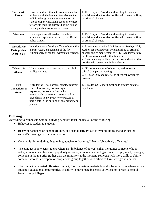| <b>Terroristic</b><br><b>Threat</b>              | Direct or indirect threat to commit an act of<br>violence with the intent to terrorize another<br>individual or group, cause evacuation of<br>school property including buses or to cause<br>terror with reckless disregard of the risk of<br>causing such terror or inconvenience. | 1.10-15 days OSS and board meeting to consider<br>expulsion and authorities notified with potential filing<br>of criminal charges.                                                                                                                                                                                  |
|--------------------------------------------------|-------------------------------------------------------------------------------------------------------------------------------------------------------------------------------------------------------------------------------------------------------------------------------------|---------------------------------------------------------------------------------------------------------------------------------------------------------------------------------------------------------------------------------------------------------------------------------------------------------------------|
| Weapons                                          | No weapons are allowed on the school<br>grounds except those carried by an official<br>police officer.                                                                                                                                                                              | 1.10-15 days OSS and board meeting to consider<br>expulsion and authorities notified with potential filing<br>of criminal charges.                                                                                                                                                                                  |
| Fire Alarm/<br><b>Extinguisher</b><br>& 911 Call | Intentional act of setting off the school's fire<br>alarm system, engagement of the fire<br>extinguisher, or call 911 without emergency.                                                                                                                                            | 1. Parent meeting with Administration, 10 days OSS,<br>Authorities notified with potential filing of criminal<br>charges and reimbursement to STEP Academy of any<br>or all fines associated with infraction.<br>2. Board meeting to discuss expulsion and authorities<br>notified with potential criminal charges. |
| Tobacco &<br><b>Alcohol</b>                      | Use or possession of any tobacco, alcohol,<br>or illegal drugs.                                                                                                                                                                                                                     | 1. ISS for remainder of school day and following<br>school day, parent meeting.<br>2.3-5 days OSS and referral to chemical awareness<br>program.                                                                                                                                                                    |
| <b>Fire</b><br><b>Infractions &amp;</b><br>Arson | A student will not possess, handle, transmit,<br>conceal, or use any form of lighter,<br>explosive, firework or firecracker,<br>intentionally, by means of starting a fire,<br>cause harm to any property or person, or<br>participate in the burning of any property or<br>person. | 1.5-15 day OSS, board meeting to discuss potential<br>expulsion.                                                                                                                                                                                                                                                    |

#### **Bullying**

According to Minnesota Statute, bullying behavior must include all of the following.

- Behavior is student to student.
- Behavior happened on school grounds, at a school activity, OR is cyber bullying that disrupts the student's learning environment at school.
- Conduct is "intimidating, threatening, abusive, or harming " that is "objectively offensive."
- The conduct is between students where an "imbalance of power" exists including: someone who is older, someone who has more popularity or status, someone who is bigger in size or physically stronger, someone in the majority (rather than the minority) at the moment, someone with more skills or ability, someone who has a weapon, or people who group together with others to have strength in numbers.
- The conduct is repeated offensive conduct, forms a pattern, materially and substantially interferes with a student's educational opportunities, or ability to participate in school activities, or to receive school benefits, or privileges.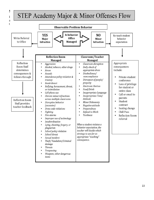# **School Director's Authority on Discipline Matters**   $I_1$  is the policity of STEP and matters concerning discipline, the ultimate  $\sigma$  is the ultimate ultimate ultimate  $\sigma$

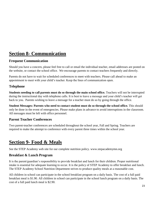# **Section 8- Communication**

## **Frequent Communication**

Should you have a concern, please feel free to call or email the individual teacher, email addresses are posted on the website, or contact the school office. We encourage parents to contact teachers frequently and directly.

Parents do not have to wait for scheduled conferences to meet with teachers. Please call ahead to make an appointment to meet with your child's teacher. Keep the lines of communication open.

#### **Telephone**

**Students needing to call parents must do so through the main school office.** Teachers will not be interrupted during the instructional day with telephone calls. It is best to leave a message and your child's teacher will get back to you. Parents wishing to leave a message for a teacher must do so by going through the office.

**Student Messages: Parents who need to contact student must do so through the school office.** This should only be done in the event of emergencies. Please make plans in advance to avoid interruptions in the classroom. All messages must be left with office personnel.

## **Parent Teacher Conferences**

Two parent-teacher conferences are scheduled throughout the school year, Fall and Spring. Teachers are required to make the attempt to conference with every parent three times within the school year.

# **Section 9- Food & Meals**

See the STEP Academy web site for our complete nutrition policy. www.stepacademymn.org

## **Breakfast & Lunch Program**

It is the parent/guardian's responsibility to provide breakfast and lunch for their children. Proper nutritional intake is essential for adequate learning to occur. It is the policy of STEP Academy to offer breakfast and lunch. The STEP Academy School Nutrition Department strives to produce quality meals at a reasonable cost.

All children in school can participate in the school breakfast program on a daily basis. The cost of a full paid breakfast meal is \$1.90. All children in school can participate in the school lunch program on a daily basis. The cost of a full paid lunch meal is \$2.90.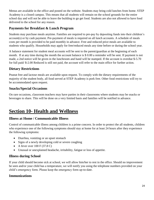Menus are available in the office and posted on the website. Students may bring cold lunches from home. STEP Academy is a closed campus. This means that all students will remain on the school grounds for the entire school day and will not be able to leave the building to go get food. Students are also not allowed to have food delivered to the school for any reason.

## **Payments for Breakfast & Lunch Program**

Students may purchase meals anytime. Families are required to pre-pay by depositing funds into their children's account(s) or by cash payment. Pre-payment of meals is required on all lunch accounts. A schedule of meals costs per month is provided to be paid monthly in advance. Free and reduced price meals are available to students who qualify. Households may apply for free/reduced meals any time before or during the school year.

A balance statement for student meal accounts will be sent to the parent/guardian at the beginning of each month. If at any time during the month the account balance is \$ 0.00 a reminder will be sent. If payment is not made, a 2nd notice will be given in the lunchroom and hand will be stamped. If the account is overdue \$-5.70 for full paid/ \$-2.00 Reduced is still not paid, the account will refer to the main office for further action.

## **Dietary Restrictions**

Peanut free and lactose meals are available upon request. To comply with the dietary requirements of the majority of the student body, all food served at STEP Academy is pork free. Other food restrictions will try to be accommodated upon request.

## **Snacks/Special Occasions**

On rare occasions, classroom teachers may have parties in their classrooms where students may be snacks or beverages to share. This will be done on a very limited basis and families will be notified in advance.

# **Section 10- Health and Wellness**

## **Illness at Home / Communicable Illness**

Control of communicable illness among children is a prime concern. In order to protect the all students, children who experience one of the following symptoms should stay at home for at least 24 hours after they experience the following symptoms:

- Diarrhea, vomiting or an upset stomach
- Signs of a newly developing cold or severe coughing
- $\bullet$  A fever over 100 F (37.8 C)
- Unusual or unexplained headache, irritability, fatigue or loss of appetite.

#### **Illness during School**

If your child should become sick at school, we will allow him/her to rest in the office. Should no improvement be seen and/or your child has a temperature, we will notify you using the telephone numbers provided on your child's emergency form. Please keep the emergency form up-to-date.

#### **Immunizations**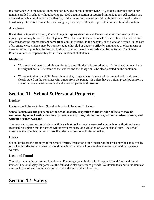In accordance with the School Immunization Law (Minnesota Statute 121A.15), students may not enroll nor remain enrolled in school without having provided documentation of required immunizations. All students are expected to be in compliance on the first day of their entry into school this fall with the exception of students transferring into school. Students transferring may have up to 30 days to provide immunization information.

## **Accidents**

If a student is injured at school, s/he will be given appropriate first aid. Depending upon the severity of the injury a parent may be notified by telephone. When the parent cannot be reached, a member of the school staff may transport the injured student home (if an adult is present), to the hospital, or to a doctor's office. In the case of an emergency, students may be transported to a hospital or doctor's office by ambulance or other means of transportation. If possible, the family physician listed on the office records shall be contacted. The School Board assumes no responsibility for medical treatment of students.

## **Medicine**

- We are only allowed to administer drugs to the child that it is prescribed to. All medication must be in the original bottle. The name of the student and the dosage must be clearly stated on the container.
- We cannot administer OTC (over-the-counter) drugs unless the name of the student and the dosage is clearly stated on the container with a note from the parent. Or unless have a written prescription from a doctor in the name of the student and a written parent authorization.

# **Section 11- School & Personal Property**

## **Lockers**

Lockers should be kept clean. No valuables should be stored in lockers.

**School lockers are the property of the school district. Inspection of the interior of lockers may be conducted by school authorities for any reason at any time, without notice, without student consent, and without a search warrant.**

The personal possessions of students within a school locker may be searched when school authorities have a reasonable suspicion that the search will uncover evidence of a violation of law or school rules. The school must have the combination for lockers if student chooses to lock his/her locker.

# **Desks**

School desks are the property of the school district. Inspection of the interior of the desks may be conducted by school authorities for any reason at any time, without notice, without student consent, and without a search warrant.

# **Lost and Found**

The school maintains a lost and found area.. Encourage your child to check lost and found. Lost and found items will be on display for parents at the fall and winter conference periods. We donate lost and found items at the conclusion of each conference period and at the end of the school year.

# **Section 12- Safety**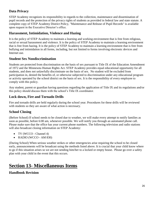## **Data Privacy**

STEP Academy recognizes its responsibility in regards to the collection, maintenance and dissemination of pupil records and the protection of the privacy rights of students as provided in federal law and state statute. A complete copy of STEP Academy District Policy, "Maintenance and Release of Pupil Records" is available upon request in the Executive Director's office.

#### **Harassment, Intimidation, Violence and Hazing**

It is the policy of STEP Academy to maintain a learning and working environment that is free from religious, racial or sexual harassment and violence. It is the policy of STEP Academy to maintain a learning environment that is free from hazing. It is the policy of STEP Academy to maintain a learning environment that is free from bullying and intimidation in all forms, including, but not limited to forms involving electronic devices and Internet use.

#### **Student Sex Nondiscrimination**

Students are protected from discrimination on the basis of sex pursuant to Title IX of the Education Amendment of 1972 and the Minnesota Human Rights Act. STEP Academy provides equal educational opportunity for all students, and does not unlawfully discriminate on the basis of sex. No student will be excluded from participation in, denied the benefits of, or otherwise subjected to discrimination under any educational program or activity operated by the school district on the basis of sex. It is the responsibility of every employee to comply with this policy.

Any student, parent or guardian having questions regarding the application of Title IX and its regulations and/or this policy should discuss them with the school's Title IX coordinator.

#### **Lock down, Fire and Tornado Drills**

Fire and tornado drills are held regularly during the school year. Procedures for these drills will be reviewed with students so they are aware of what action is necessary.

#### **School Closing**

(Before School) If school needs to be closed due to weather, we will make every attempt to notify families as soon as possible, before 6:00 am, whenever possible. We will notify you through an automated phone call. Please make sure that the office has your current phone numbers. The following television and radio stations will also broadcast closing information on STEP Academy:

- TV (WCCO Channel 4)
- RADIO (WCCO AM 830)

(During School) When serious weather strikes or other emergencies arise requiring the school to be closed early, announcements will be broadcast using the methods listed above. It is crucial that your child know where to go if this situation arises so we are not sending him/her to a locked or empty house. Please go over a safety plan with your child in the event that this occurs.

# **Section 13- Miscellaneous Items**

#### **Handbook Revision**